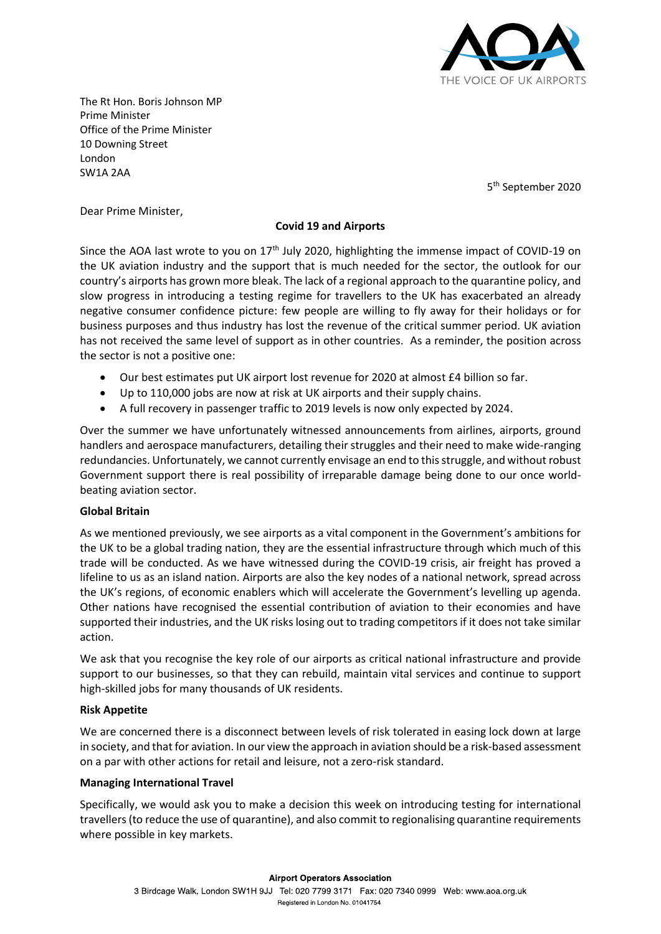

The Rt Hon. Boris Johnson MP Prime Minister Office of the Prime Minister 10 Downing Street London SW1A 2AA

5 th September 2020

Dear Prime Minister,

# **Covid 19 and Airports**

Since the AOA last wrote to you on  $17<sup>th</sup>$  July 2020, highlighting the immense impact of COVID-19 on the UK aviation industry and the support that is much needed for the sector, the outlook for our country's airports has grown more bleak. The lack of a regional approach to the quarantine policy, and slow progress in introducing a testing regime for travellers to the UK has exacerbated an already negative consumer confidence picture: few people are willing to fly away for their holidays or for business purposes and thus industry has lost the revenue of the critical summer period. UK aviation has not received the same level of support as in other countries. As a reminder, the position across the sector is not a positive one:

- Our best estimates put UK airport lost revenue for 2020 at almost £4 billion so far.
- Up to 110,000 jobs are now at risk at UK airports and their supply chains.
- A full recovery in passenger traffic to 2019 levels is now only expected by 2024.

Over the summer we have unfortunately witnessed announcements from airlines, airports, ground handlers and aerospace manufacturers, detailing their struggles and their need to make wide-ranging redundancies. Unfortunately, we cannot currently envisage an end to this struggle, and without robust Government support there is real possibility of irreparable damage being done to our once worldbeating aviation sector.

# **Global Britain**

As we mentioned previously, we see airports as a vital component in the Government's ambitions for the UK to be a global trading nation, they are the essential infrastructure through which much of this trade will be conducted. As we have witnessed during the COVID-19 crisis, air freight has proved a lifeline to us as an island nation. Airports are also the key nodes of a national network, spread across the UK's regions, of economic enablers which will accelerate the Government's levelling up agenda. Other nations have recognised the essential contribution of aviation to their economies and have supported their industries, and the UK risks losing out to trading competitors if it does not take similar action.

We ask that you recognise the key role of our airports as critical national infrastructure and provide support to our businesses, so that they can rebuild, maintain vital services and continue to support high-skilled jobs for many thousands of UK residents.

# **Risk Appetite**

We are concerned there is a disconnect between levels of risk tolerated in easing lock down at large in society, and that for aviation. In our view the approach in aviation should be a risk-based assessment on a par with other actions for retail and leisure, not a zero-risk standard.

# **Managing International Travel**

Specifically, we would ask you to make a decision this week on introducing testing for international travellers (to reduce the use of quarantine), and also commit to regionalising quarantine requirements where possible in key markets.